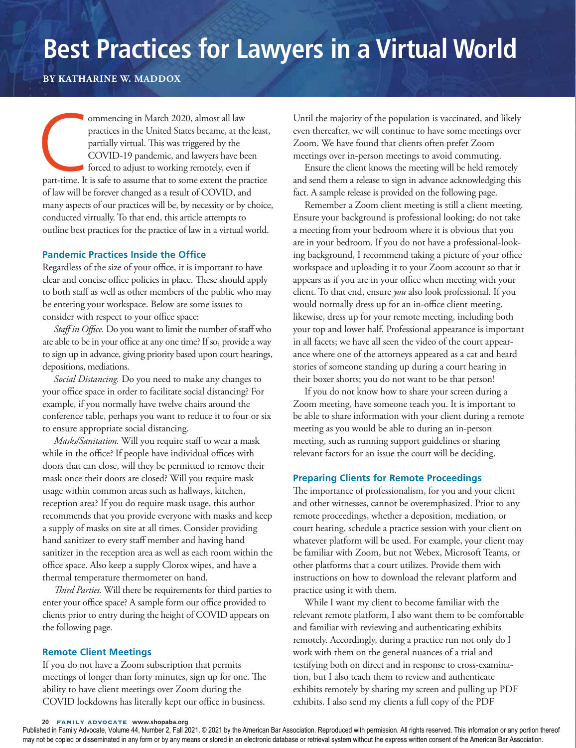## **BY KATHARINE W. MADDOX**

ommencing in March 2020, almost all law<br>practices in the United States became, at the least,<br>partially virtual. This was triggered by the<br>COVID-19 pandemic, and lawyers have been<br>forced to adjust to working remotely, even practices in the United States became, at the least, partially virtual. This was triggered by the COVID-19 pandemic, and lawyers have been forced to adjust to working remotely, even if of law will be forever changed as a result of COVID, and many aspects of our practices will be, by necessity or by choice, conducted virtually. To that end, this article attempts to outline best practices for the practice of law in a virtual world.

## **Pandemic Practices Inside the Office**

Regardless of the size of your office, it is important to have clear and concise office policies in place. These should apply to both staff as well as other members of the public who may be entering your workspace. Below are some issues to consider with respect to your office space:

*Staff in Office.* Do you want to limit the number of staff who are able to be in your office at any one time? If so, provide a way to sign up in advance, giving priority based upon court hearings, depositions, mediations.

*Social Distancing.* Do you need to make any changes to your office space in order to facilitate social distancing? For example, if you normally have twelve chairs around the conference table, perhaps you want to reduce it to four or six to ensure appropriate social distancing.

*Masks/Sanitation.* Will you require staff to wear a mask while in the office? If people have individual offices with doors that can close, will they be permitted to remove their mask once their doors are closed? Will you require mask usage within common areas such as hallways, kitchen, reception area? If you do require mask usage, this author recommends that you provide everyone with masks and keep a supply of masks on site at all times. Consider providing hand sanitizer to every staff member and having hand sanitizer in the reception area as well as each room within the office space. Also keep a supply Clorox wipes, and have a thermal temperature thermometer on hand.

*Third Parties.* Will there be requirements for third parties to enter your office space? A sample form our office provided to clients prior to entry during the height of COVID appears on the following page.

## **Remote Client Meetings**

If you do not have a Zoom subscription that permits meetings of longer than forty minutes, sign up for one. The ability to have client meetings over Zoom during the COVID lockdowns has literally kept our office in business.

Until the majority of the population is vaccinated, and likely even thereafter, we will continue to have some meetings over Zoom. We have found that clients often prefer Zoom meetings over in-person meetings to avoid commuting.

Ensure the client knows the meeting will be held remotely and send them a release to sign in advance acknowledging this fact. A sample release is provided on the following page.

Remember a Zoom client meeting is still a client meeting. Ensure your background is professional looking; do not take a meeting from your bedroom where it is obvious that you are in your bedroom. If you do not have a professional-looking background, I recommend taking a picture of your office workspace and uploading it to your Zoom account so that it appears as if you are in your office when meeting with your client. To that end, ensure *you* also look professional. If you would normally dress up for an in-office client meeting, likewise, dress up for your remote meeting, including both your top and lower half. Professional appearance is important in all facets; we have all seen the video of the court appearance where one of the attorneys appeared as a cat and heard stories of someone standing up during a court hearing in their boxer shorts; you do not want to be that person!

If you do not know how to share your screen during a Zoom meeting, have someone teach you. It is important to be able to share information with your client during a remote meeting as you would be able to during an in-person meeting, such as running support guidelines or sharing relevant factors for an issue the court will be deciding.

## **Preparing Clients for Remote Proceedings**

The importance of professionalism, for you and your client and other witnesses, cannot be overemphasized. Prior to any remote proceedings, whether a deposition, mediation, or court hearing, schedule a practice session with your client on whatever platform will be used. For example, your client may be familiar with Zoom, but not Webex, Microsoft Teams, or other platforms that a court utilizes. Provide them with instructions on how to download the relevant platform and practice using it with them.

While I want my client to become familiar with the relevant remote platform, I also want them to be comfortable and familiar with reviewing and authenticating exhibits remotely. Accordingly, during a practice run not only do I work with them on the general nuances of a trial and testifying both on direct and in response to cross-examination, but I also teach them to review and authenticate exhibits remotely by sharing my screen and pulling up PDF exhibits. I also send my clients a full copy of the PDF

Published in Family Advocate, Volume 44, Number 2, Fall 2021. © 2021 by the American Bar Association. Reproduced with permission. All rights reserved. This information or any portion thereof may not be copied or disseminated in any form or by any means or stored in an electronic database or retrieval system without the express written consent of the American Bar Association.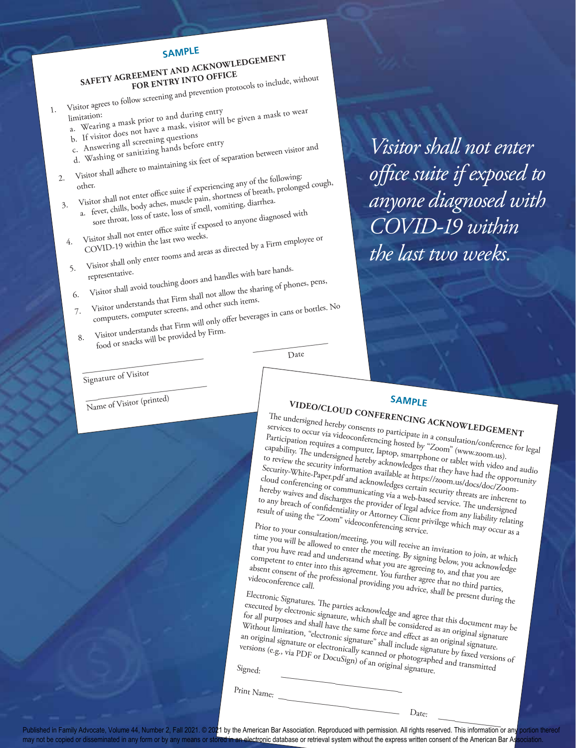## **SAMPLE**

**SAFETY AGREEMENT AND ACKNOWLEDGEMENT FOR ENTRY INTO OFFICE**

- 1. Visitor agrees to follow screening and prevention protocols to include, without<br>limitation:<br>limitation: limitation:<br>a. Wearing a mask prior to and during entry b. If visitor does not have a mask, visitor will be given a mask to wear
	-
	-
	- c. Answering all screening questions d. Washing or sanitizing hands before entry
	-
	- 2. Visitor shall adhere to maintaining six feet of separation between visitor and<br>other. other. Visitor shall not enter office suite if experiencing any of the following:<br>Visitor shall not enter office suite if experiencing any of breath, prolong<br>3. Visitor shall not enter office suite pain, shortness of breath, prol a. fever, chills, body aches, muscle pain, shortness of breath, prolonged cough,
		-
		- sore throat, loss of taste, loss of smell, vomiting, diarrhea. Visitor shall not enter office suite if exposed to anyone diagnosed with<br>4. Visitor shall not enter office suite if exposed to anyone diagnosed with
		- COVID-19 within the last two weeks. 5. Visitor shall only enter rooms and areas as directed by a Firm employee or<br>representative.
		-
		- representative.<br>
		Contains the starting of physics and handles with bare hands.<br>
		6. Visitor shall avoid touching doors and handles with bare hands. The Visitor shall avoid to the state of phones, pens,<br>7. Visitor understands that Firm shall not allow the sharing of phones, pens,<br>7. Visitor understands that Firm shall not allow the sharing or bottles.
		- computers, computer screens, and other such items. 8. Visitor understands that Firm will only offer beverages in cans or bottles. No
		- Visitor understands that<br>food or snacks will be provided by Firm.  $\frac{1}{2}$   $\frac{1}{2}$

Date

Signature of Visitor

 $\frac{1}{\sqrt{1-\frac{1}{2}}\cdot\frac{1}{2}}$ Name of Visitor (printed)

# **SAMPLE**

**VIDEO/CLOUD CONFERENCING ACKNOWLEDGEMENT** The undersigned hereby consents to participate in a consultation/conference for legal services to occur via videoconferencing hosted by "Zoom" (www.zoom.us). Participation requires a computer, laptop, smartphone or tablet with video and audio capability. The undersigned hereby acknowledges that they have had the opportunity to review the security information available at https://zoom.us/docs/doc/Zoom-Security-White-Paper.pdf and acknowledges certain security threats are inherent to<br>hereby waives and discharges the provider of legal advice from any liability relating<br>to any breach of confidentiality or Attorney Client p cloud conferencing or communicating via a web-based service. The undersigned hereby waives and discharges the provider of legal advice from any liability relating to any breach of confidentiality or Attorney Client privilege which may occur as a<br>result of using the "Zoom" videoconferencing service. The undersigned<br>Prior to your consultation of using the service.

Prior to your consultation/meeting, you will receive an invitation to join, at which

time you will be allowed to enter the meeting. By signing below, you acknowledge<br>competent to enter into this agreement. You further agree in and that you are<br>absent consent of the professional providing you acknowledge<br>vi that you have read and understand what you are agreeing to, and that you are competent to enter into this agreement. You are agreeing to, and that you are<br>absent consent of the professional providing you action and that you are<br>videoconference call. absent consent of the professional providing you advice, shall be present during the

Electronic Signatures. The parties acknowledge and agree that this document may be executed by electronic signature, which shall be considered as an original signature for all purposes and shall have the same force and effect as an original signature. Without limitation, "electronic signature" shall include signature by faxed versions of an original signature or electronic signature" shall include signature by faxed versions (e.g., via PDF or DocuSign) of an original signature.<br>Signed: versions (e.g., via PDF or DocuSign) of an original signature.

Print Name:

 $\overline{\phantom{a}}$   $D_{\text{ate}}$ 

**FALL 2021 21**

Published in Family Advocate, Volume 44, Number 2, Fall 2021. © 2021 by the American Bar Association. Reproduced with permission. All rights reserved. This information or any portion thereof may not be copied or disseminated in any form or by any means or stored in an electronic database or retrieval system without the express written consent of the American Bar Association.

*Visitor shall not enter office suite if exposed to anyone diagnosed with COVID-19 within the last two weeks.*